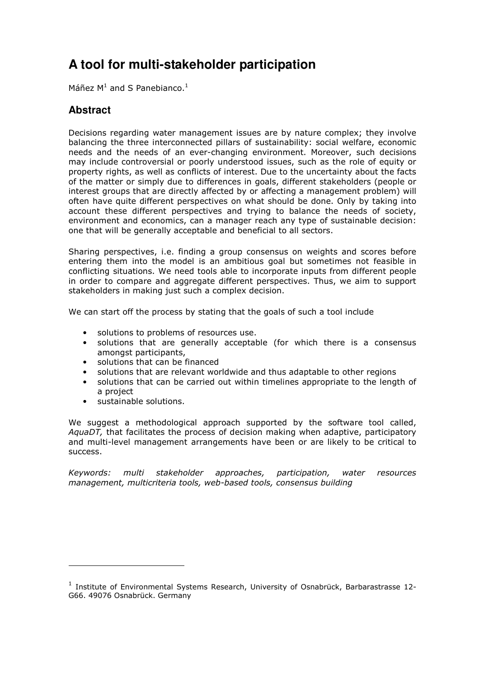# **A tool for multi-stakeholder participation**

Máñez  $M^1$  and S Panebianco.<sup>1</sup>

### **Abstract**

Decisions regarding water management issues are by nature complex; they involve balancing the three interconnected pillars of sustainability: social welfare, economic needs and the needs of an ever-changing environment. Moreover, such decisions may include controversial or poorly understood issues, such as the role of equity or property rights, as well as conflicts of interest. Due to the uncertainty about the facts of the matter or simply due to differences in goals, different stakeholders (people or interest groups that are directly affected by or affecting a management problem) will often have quite different perspectives on what should be done. Only by taking into account these different perspectives and trying to balance the needs of society, environment and economics, can a manager reach any type of sustainable decision: one that will be generally acceptable and beneficial to all sectors.

Sharing perspectives, i.e. finding a group consensus on weights and scores before entering them into the model is an ambitious goal but sometimes not feasible in conflicting situations. We need tools able to incorporate inputs from different people in order to compare and aggregate different perspectives. Thus, we aim to support stakeholders in making just such a complex decision.

We can start off the process by stating that the goals of such a tool include

- solutions to problems of resources use.
- solutions that are generally acceptable (for which there is a consensus amongst participants,
- solutions that can be financed
- solutions that are relevant worldwide and thus adaptable to other regions
- solutions that can be carried out within timelines appropriate to the length of a project
- sustainable solutions.

We suggest a methodological approach supported by the software tool called, AquaDT, that facilitates the process of decision making when adaptive, participatory and multi-level management arrangements have been or are likely to be critical to success.

Keywords: multi stakeholder approaches, participation, water resources management, multicriteria tools, web-based tools, consensus building

<sup>&</sup>lt;sup>1</sup> Institute of Environmental Systems Research, University of Osnabrück, Barbarastrasse 12-G66. 49076 Osnabrück. Germany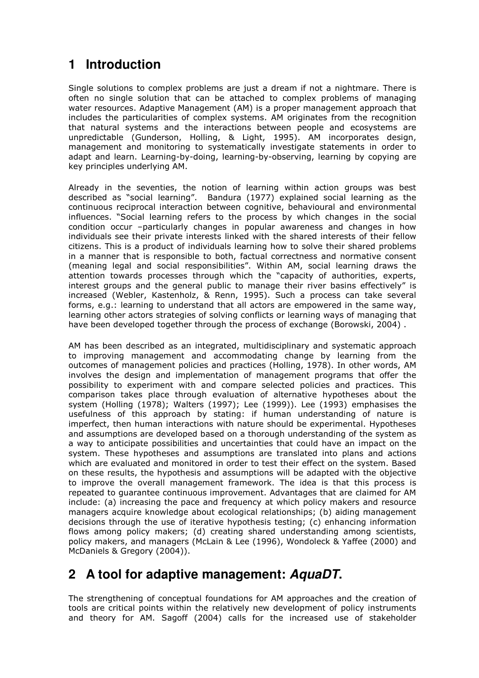## **1 Introduction**

Single solutions to complex problems are just a dream if not a nightmare. There is often no single solution that can be attached to complex problems of managing water resources. Adaptive Management (AM) is a proper management approach that includes the particularities of complex systems. AM originates from the recognition that natural systems and the interactions between people and ecosystems are unpredictable (Gunderson, Holling, & Light, 1995). AM incorporates design, management and monitoring to systematically investigate statements in order to adapt and learn. Learning-by-doing, learning-by-observing, learning by copying are key principles underlying AM.

Already in the seventies, the notion of learning within action groups was best described as "social learning". Bandura (1977) explained social learning as the continuous reciprocal interaction between cognitive, behavioural and environmental influences. "Social learning refers to the process by which changes in the social condition occur –particularly changes in popular awareness and changes in how individuals see their private interests linked with the shared interests of their fellow citizens. This is a product of individuals learning how to solve their shared problems in a manner that is responsible to both, factual correctness and normative consent (meaning legal and social responsibilities". Within AM, social learning draws the attention towards processes through which the "capacity of authorities, experts, interest groups and the general public to manage their river basins effectively" is increased (Webler, Kastenholz, & Renn, 1995). Such a process can take several forms, e.g.: learning to understand that all actors are empowered in the same way, learning other actors strategies of solving conflicts or learning ways of managing that have been developed together through the process of exchange (Borowski, 2004).

AM has been described as an integrated, multidisciplinary and systematic approach to improving management and accommodating change by learning from the outcomes of management policies and practices (Holling, 1978). In other words, AM involves the design and implementation of management programs that offer the possibility to experiment with and compare selected policies and practices. This comparison takes place through evaluation of alternative hypotheses about the system (Holling (1978); Walters (1997); Lee (1999)). Lee (1993) emphasises the usefulness of this approach by stating: if human understanding of nature is imperfect, then human interactions with nature should be experimental. Hypotheses and assumptions are developed based on a thorough understanding of the system as a way to anticipate possibilities and uncertainties that could have an impact on the system. These hypotheses and assumptions are translated into plans and actions which are evaluated and monitored in order to test their effect on the system. Based on these results, the hypothesis and assumptions will be adapted with the objective to improve the overall management framework. The idea is that this process is repeated to guarantee continuous improvement. Advantages that are claimed for AM include: (a) increasing the pace and frequency at which policy makers and resource managers acquire knowledge about ecological relationships; (b) aiding management decisions through the use of iterative hypothesis testing; (c) enhancing information flows among policy makers; (d) creating shared understanding among scientists, policy makers, and managers (McLain & Lee (1996), Wondoleck & Yaffee (2000) and McDaniels & Gregory (2004)).

# **2 A tool for adaptive management: AquaDT.**

The strengthening of conceptual foundations for AM approaches and the creation of tools are critical points within the relatively new development of policy instruments and theory for AM. Sagoff (2004) calls for the increased use of stakeholder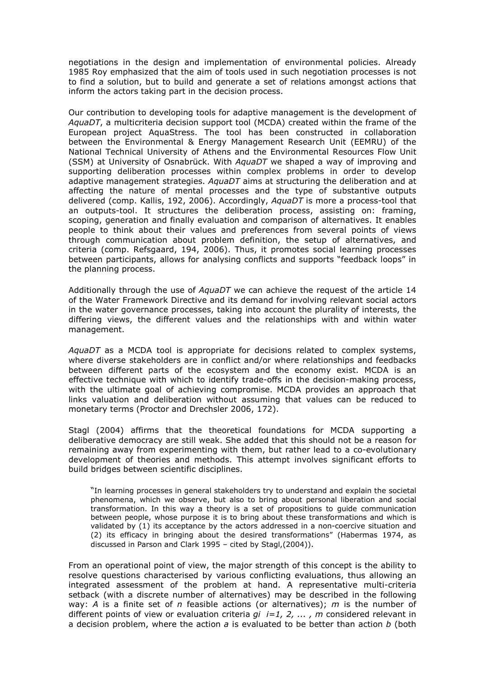negotiations in the design and implementation of environmental policies. Already 1985 Roy emphasized that the aim of tools used in such negotiation processes is not to find a solution, but to build and generate a set of relations amongst actions that inform the actors taking part in the decision process.

Our contribution to developing tools for adaptive management is the development of AquaDT, a multicriteria decision support tool (MCDA) created within the frame of the European project AquaStress. The tool has been constructed in collaboration between the Environmental & Energy Management Research Unit (EEMRU) of the National Technical University of Athens and the Environmental Resources Flow Unit (SSM) at University of Osnabrück. With AquaDT we shaped a way of improving and supporting deliberation processes within complex problems in order to develop adaptive management strategies.  $AquaDT$  aims at structuring the deliberation and at affecting the nature of mental processes and the type of substantive outputs delivered (comp. Kallis, 192, 2006). Accordingly, AquaDT is more a process-tool that an outputs-tool. It structures the deliberation process, assisting on: framing, scoping, generation and finally evaluation and comparison of alternatives. It enables people to think about their values and preferences from several points of views through communication about problem definition, the setup of alternatives, and criteria (comp. Refsgaard, 194, 2006). Thus, it promotes social learning processes between participants, allows for analysing conflicts and supports "feedback loops" in the planning process.

Additionally through the use of AquaDT we can achieve the request of the article 14 of the Water Framework Directive and its demand for involving relevant social actors in the water governance processes, taking into account the plurality of interests, the differing views, the different values and the relationships with and within water management.

AquaDT as a MCDA tool is appropriate for decisions related to complex systems, where diverse stakeholders are in conflict and/or where relationships and feedbacks between different parts of the ecosystem and the economy exist. MCDA is an effective technique with which to identify trade-offs in the decision-making process, with the ultimate goal of achieving compromise. MCDA provides an approach that links valuation and deliberation without assuming that values can be reduced to monetary terms (Proctor and Drechsler 2006, 172).

Stagl (2004) affirms that the theoretical foundations for MCDA supporting a deliberative democracy are still weak. She added that this should not be a reason for remaining away from experimenting with them, but rather lead to a co-evolutionary development of theories and methods. This attempt involves significant efforts to build bridges between scientific disciplines.

"In learning processes in general stakeholders try to understand and explain the societal phenomena, which we observe, but also to bring about personal liberation and social transformation. In this way a theory is a set of propositions to guide communication between people, whose purpose it is to bring about these transformations and which is validated by (1) its acceptance by the actors addressed in a non-coercive situation and (2) its efficacy in bringing about the desired transformations" (Habermas 1974, as discussed in Parson and Clark 1995 – cited by Stagl,(2004)).

From an operational point of view, the major strength of this concept is the ability to resolve questions characterised by various conflicting evaluations, thus allowing an integrated assessment of the problem at hand. A representative multi-criteria setback (with a discrete number of alternatives) may be described in the following way: A is a finite set of n feasible actions (or alternatives); m is the number of different points of view or evaluation criteria  $qi_i =1, 2, \ldots, m$  considered relevant in a decision problem, where the action  $a$  is evaluated to be better than action  $b$  (both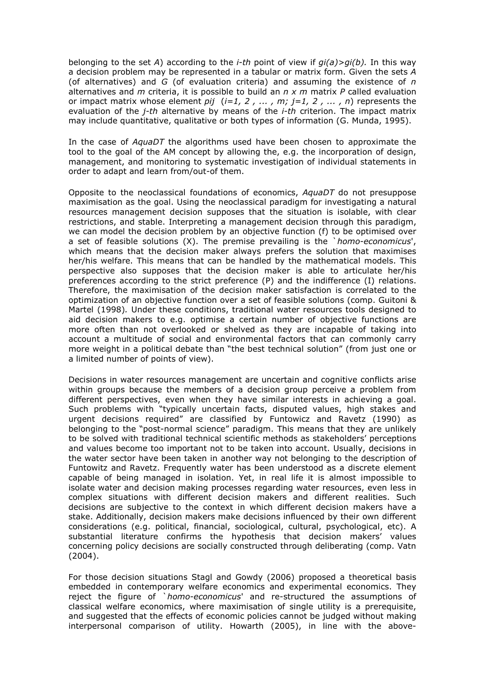belonging to the set A) according to the *i-th* point of view if  $qi(a) > qi(b)$ . In this way a decision problem may be represented in a tabular or matrix form. Given the sets A (of alternatives) and  $G$  (of evaluation criteria) and assuming the existence of  $n$ alternatives and  $m$  criteria, it is possible to build an  $n \times m$  matrix  $P$  called evaluation or impact matrix whose element pij  $(i=1, 2, ..., m; j=1, 2, ..., n)$  represents the evaluation of the  $i$ -th alternative by means of the  $i$ -th criterion. The impact matrix may include quantitative, qualitative or both types of information (G. Munda, 1995).

In the case of AquaDT the algorithms used have been chosen to approximate the tool to the goal of the AM concept by allowing the, e.g. the incorporation of design, management, and monitoring to systematic investigation of individual statements in order to adapt and learn from/out-of them.

Opposite to the neoclassical foundations of economics, AquaDT do not presuppose maximisation as the goal. Using the neoclassical paradigm for investigating a natural resources management decision supposes that the situation is isolable, with clear restrictions, and stable. Interpreting a management decision through this paradigm, we can model the decision problem by an objective function (f) to be optimised over a set of feasible solutions (X). The premise prevailing is the `homo-economicus', which means that the decision maker always prefers the solution that maximises her/his welfare. This means that can be handled by the mathematical models. This perspective also supposes that the decision maker is able to articulate her/his preferences according to the strict preference (P) and the indifference (I) relations. Therefore, the maximisation of the decision maker satisfaction is correlated to the optimization of an objective function over a set of feasible solutions (comp. Guitoni & Martel (1998). Under these conditions, traditional water resources tools designed to aid decision makers to e.g. optimise a certain number of objective functions are more often than not overlooked or shelved as they are incapable of taking into account a multitude of social and environmental factors that can commonly carry more weight in a political debate than "the best technical solution" (from just one or a limited number of points of view).

Decisions in water resources management are uncertain and cognitive conflicts arise within groups because the members of a decision group perceive a problem from different perspectives, even when they have similar interests in achieving a goal. Such problems with "typically uncertain facts, disputed values, high stakes and urgent decisions required" are classified by Funtowicz and Ravetz (1990) as belonging to the "post-normal science" paradigm. This means that they are unlikely to be solved with traditional technical scientific methods as stakeholders' perceptions and values become too important not to be taken into account. Usually, decisions in the water sector have been taken in another way not belonging to the description of Funtowitz and Ravetz. Frequently water has been understood as a discrete element capable of being managed in isolation. Yet, in real life it is almost impossible to isolate water and decision making processes regarding water resources, even less in complex situations with different decision makers and different realities. Such decisions are subjective to the context in which different decision makers have a stake. Additionally, decision makers make decisions influenced by their own different considerations (e.g. political, financial, sociological, cultural, psychological, etc). A substantial literature confirms the hypothesis that decision makers' values concerning policy decisions are socially constructed through deliberating (comp. Vatn (2004).

For those decision situations Stagl and Gowdy (2006) proposed a theoretical basis embedded in contemporary welfare economics and experimental economics. They reject the figure of `homo-economicus' and re-structured the assumptions of classical welfare economics, where maximisation of single utility is a prerequisite, and suggested that the effects of economic policies cannot be judged without making interpersonal comparison of utility. Howarth (2005), in line with the above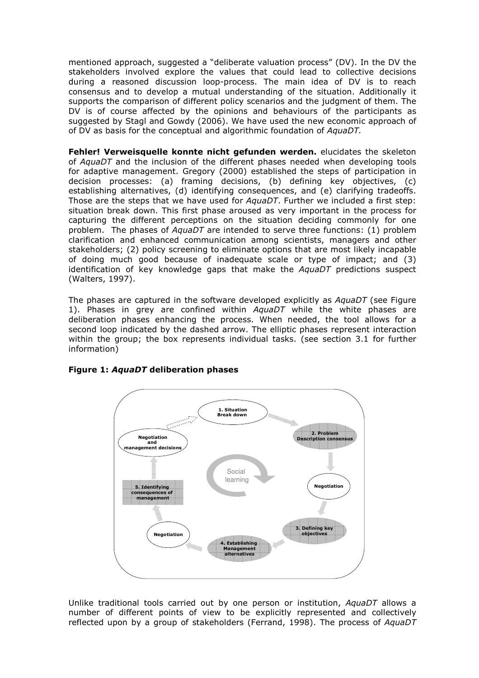mentioned approach, suggested a "deliberate valuation process" (DV). In the DV the stakeholders involved explore the values that could lead to collective decisions during a reasoned discussion loop-process. The main idea of DV is to reach consensus and to develop a mutual understanding of the situation. Additionally it supports the comparison of different policy scenarios and the judgment of them. The DV is of course affected by the opinions and behaviours of the participants as suggested by Stagl and Gowdy (2006). We have used the new economic approach of of DV as basis for the conceptual and algorithmic foundation of AquaDT.

Fehler! Verweisquelle konnte nicht gefunden werden. elucidates the skeleton of AquaDT and the inclusion of the different phases needed when developing tools for adaptive management. Gregory (2000) established the steps of participation in decision processes: (a) framing decisions, (b) defining key objectives, (c) establishing alternatives, (d) identifying consequences, and (e) clarifying tradeoffs. Those are the steps that we have used for  $AquaDT$ . Further we included a first step: situation break down. This first phase aroused as very important in the process for capturing the different perceptions on the situation deciding commonly for one problem. The phases of  $AquaDT$  are intended to serve three functions: (1) problem clarification and enhanced communication among scientists, managers and other stakeholders; (2) policy screening to eliminate options that are most likely incapable of doing much good because of inadequate scale or type of impact; and (3) identification of key knowledge gaps that make the AquaDT predictions suspect (Walters, 1997).

The phases are captured in the software developed explicitly as AquaDT (see Figure 1). Phases in grey are confined within  $AquaDT$  while the white phases are deliberation phases enhancing the process. When needed, the tool allows for a second loop indicated by the dashed arrow. The elliptic phases represent interaction within the group; the box represents individual tasks. (see section 3.1 for further information)



#### Figure 1: AquaDT deliberation phases

Unlike traditional tools carried out by one person or institution, AquaDT allows a number of different points of view to be explicitly represented and collectively reflected upon by a group of stakeholders (Ferrand, 1998). The process of AquaDT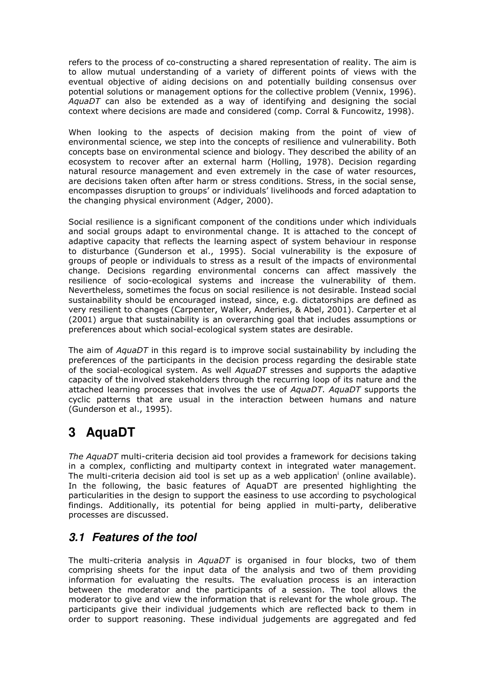refers to the process of co-constructing a shared representation of reality. The aim is to allow mutual understanding of a variety of different points of views with the eventual objective of aiding decisions on and potentially building consensus over potential solutions or management options for the collective problem (Vennix, 1996). AquaDT can also be extended as a way of identifying and designing the social context where decisions are made and considered (comp. Corral & Funcowitz, 1998).

When looking to the aspects of decision making from the point of view of environmental science, we step into the concepts of resilience and vulnerability. Both concepts base on environmental science and biology. They described the ability of an ecosystem to recover after an external harm (Holling, 1978). Decision regarding natural resource management and even extremely in the case of water resources, are decisions taken often after harm or stress conditions. Stress, in the social sense, encompasses disruption to groups' or individuals' livelihoods and forced adaptation to the changing physical environment (Adger, 2000).

Social resilience is a significant component of the conditions under which individuals and social groups adapt to environmental change. It is attached to the concept of adaptive capacity that reflects the learning aspect of system behaviour in response to disturbance (Gunderson et al., 1995). Social vulnerability is the exposure of groups of people or individuals to stress as a result of the impacts of environmental change. Decisions regarding environmental concerns can affect massively the resilience of socio-ecological systems and increase the vulnerability of them. Nevertheless, sometimes the focus on social resilience is not desirable. Instead social sustainability should be encouraged instead, since, e.g. dictatorships are defined as very resilient to changes (Carpenter, Walker, Anderies, & Abel, 2001). Carperter et al (2001) argue that sustainability is an overarching goal that includes assumptions or preferences about which social-ecological system states are desirable.

The aim of AquaDT in this regard is to improve social sustainability by including the preferences of the participants in the decision process regarding the desirable state of the social-ecological system. As well AquaDT stresses and supports the adaptive capacity of the involved stakeholders through the recurring loop of its nature and the attached learning processes that involves the use of AquaDT. AquaDT supports the cyclic patterns that are usual in the interaction between humans and nature (Gunderson et al., 1995).

## **3 AquaDT**

The AquaDT multi-criteria decision aid tool provides a framework for decisions taking in a complex, conflicting and multiparty context in integrated water management. The multi-criteria decision aid tool is set up as a web application<sup>i</sup> (online available). In the following, the basic features of AquaDT are presented highlighting the particularities in the design to support the easiness to use according to psychological findings. Additionally, its potential for being applied in multi-party, deliberative processes are discussed.

## **3.1 Features of the tool**

The multi-criteria analysis in AquaDT is organised in four blocks, two of them comprising sheets for the input data of the analysis and two of them providing information for evaluating the results. The evaluation process is an interaction between the moderator and the participants of a session. The tool allows the moderator to give and view the information that is relevant for the whole group. The participants give their individual judgements which are reflected back to them in order to support reasoning. These individual judgements are aggregated and fed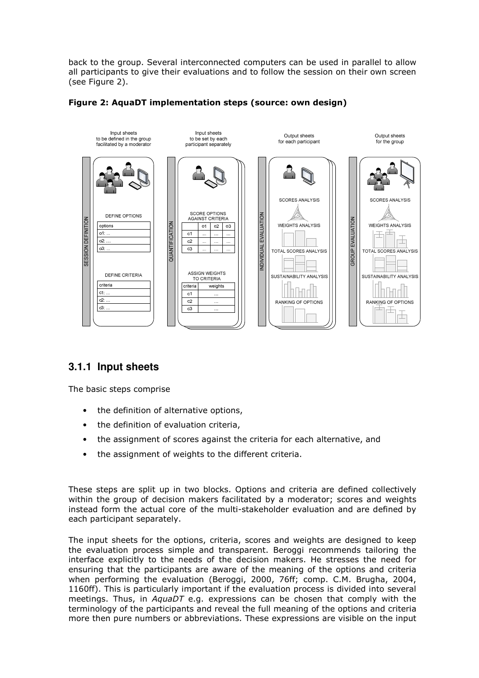back to the group. Several interconnected computers can be used in parallel to allow all participants to give their evaluations and to follow the session on their own screen (see Figure 2).



#### Figure 2: AquaDT implementation steps (source: own design)

### **3.1.1 Input sheets**

The basic steps comprise

- the definition of alternative options,
- the definition of evaluation criteria,
- the assignment of scores against the criteria for each alternative, and
- the assignment of weights to the different criteria.

These steps are split up in two blocks. Options and criteria are defined collectively within the group of decision makers facilitated by a moderator; scores and weights instead form the actual core of the multi-stakeholder evaluation and are defined by each participant separately.

The input sheets for the options, criteria, scores and weights are designed to keep the evaluation process simple and transparent. Beroggi recommends tailoring the interface explicitly to the needs of the decision makers. He stresses the need for ensuring that the participants are aware of the meaning of the options and criteria when performing the evaluation (Beroggi, 2000, 76ff; comp. C.M. Brugha, 2004, 1160ff). This is particularly important if the evaluation process is divided into several meetings. Thus, in *AquaDT* e.g. expressions can be chosen that comply with the terminology of the participants and reveal the full meaning of the options and criteria more then pure numbers or abbreviations. These expressions are visible on the input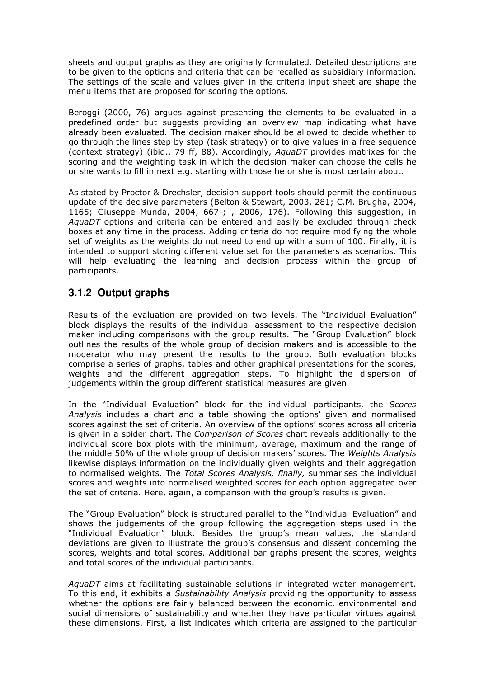sheets and output graphs as they are originally formulated. Detailed descriptions are to be given to the options and criteria that can be recalled as subsidiary information. The settings of the scale and values given in the criteria input sheet are shape the menu items that are proposed for scoring the options.

Beroggi (2000, 76) argues against presenting the elements to be evaluated in a predefined order but suggests providing an overview map indicating what have already been evaluated. The decision maker should be allowed to decide whether to go through the lines step by step (task strategy) or to give values in a free sequence (context strategy) (ibid., 79 ff, 88). Accordingly, AquaDT provides matrixes for the scoring and the weighting task in which the decision maker can choose the cells he or she wants to fill in next e.g. starting with those he or she is most certain about.

As stated by Proctor & Drechsler, decision support tools should permit the continuous update of the decisive parameters (Belton & Stewart, 2003, 281; C.M. Brugha, 2004, 1165; Giuseppe Munda, 2004, 667-; , 2006, 176). Following this suggestion, in AquaDT options and criteria can be entered and easily be excluded through check boxes at any time in the process. Adding criteria do not require modifying the whole set of weights as the weights do not need to end up with a sum of 100. Finally, it is intended to support storing different value set for the parameters as scenarios. This will help evaluating the learning and decision process within the group of participants.

## **3.1.2 Output graphs**

Results of the evaluation are provided on two levels. The "Individual Evaluation" block displays the results of the individual assessment to the respective decision maker including comparisons with the group results. The "Group Evaluation" block outlines the results of the whole group of decision makers and is accessible to the moderator who may present the results to the group. Both evaluation blocks comprise a series of graphs, tables and other graphical presentations for the scores, weights and the different aggregation steps. To highlight the dispersion of judgements within the group different statistical measures are given.

In the "Individual Evaluation" block for the individual participants, the Scores Analysis includes a chart and a table showing the options' given and normalised scores against the set of criteria. An overview of the options' scores across all criteria is given in a spider chart. The Comparison of Scores chart reveals additionally to the individual score box plots with the minimum, average, maximum and the range of the middle 50% of the whole group of decision makers' scores. The Weights Analysis likewise displays information on the individually given weights and their aggregation to normalised weights. The Total Scores Analysis, finally, summarises the individual scores and weights into normalised weighted scores for each option aggregated over the set of criteria. Here, again, a comparison with the group's results is given.

The "Group Evaluation" block is structured parallel to the "Individual Evaluation" and shows the judgements of the group following the aggregation steps used in the "Individual Evaluation" block. Besides the group's mean values, the standard deviations are given to illustrate the group's consensus and dissent concerning the scores, weights and total scores. Additional bar graphs present the scores, weights and total scores of the individual participants.

AquaDT aims at facilitating sustainable solutions in integrated water management. To this end, it exhibits a Sustainability Analysis providing the opportunity to assess whether the options are fairly balanced between the economic, environmental and social dimensions of sustainability and whether they have particular virtues against these dimensions. First, a list indicates which criteria are assigned to the particular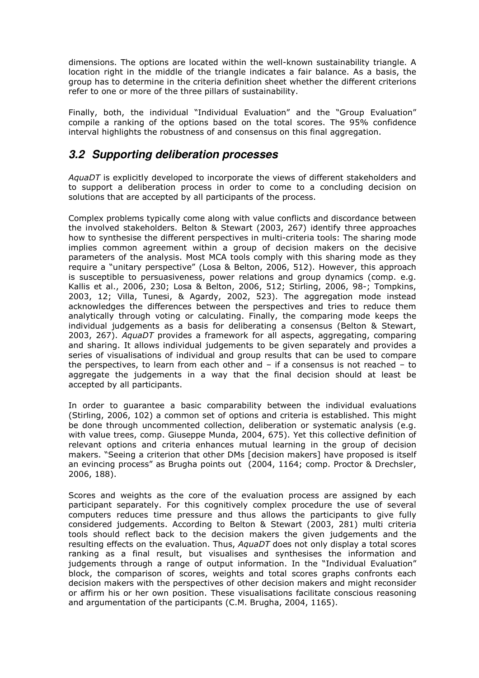dimensions. The options are located within the well-known sustainability triangle. A location right in the middle of the triangle indicates a fair balance. As a basis, the group has to determine in the criteria definition sheet whether the different criterions refer to one or more of the three pillars of sustainability.

Finally, both, the individual "Individual Evaluation" and the "Group Evaluation" compile a ranking of the options based on the total scores. The 95% confidence interval highlights the robustness of and consensus on this final aggregation.

## **3.2 Supporting deliberation processes**

AquaDT is explicitly developed to incorporate the views of different stakeholders and to support a deliberation process in order to come to a concluding decision on solutions that are accepted by all participants of the process.

Complex problems typically come along with value conflicts and discordance between the involved stakeholders. Belton & Stewart (2003, 267) identify three approaches how to synthesise the different perspectives in multi-criteria tools: The sharing mode implies common agreement within a group of decision makers on the decisive parameters of the analysis. Most MCA tools comply with this sharing mode as they require a "unitary perspective" (Losa & Belton, 2006, 512). However, this approach is susceptible to persuasiveness, power relations and group dynamics (comp. e.g. Kallis et al., 2006, 230; Losa & Belton, 2006, 512; Stirling, 2006, 98-; Tompkins, 2003, 12; Villa, Tunesi, & Agardy, 2002, 523). The aggregation mode instead acknowledges the differences between the perspectives and tries to reduce them analytically through voting or calculating. Finally, the comparing mode keeps the individual judgements as a basis for deliberating a consensus (Belton & Stewart, 2003, 267). AquaDT provides a framework for all aspects, aggregating, comparing and sharing. It allows individual judgements to be given separately and provides a series of visualisations of individual and group results that can be used to compare the perspectives, to learn from each other and – if a consensus is not reached – to aggregate the judgements in a way that the final decision should at least be accepted by all participants.

In order to guarantee a basic comparability between the individual evaluations (Stirling, 2006, 102) a common set of options and criteria is established. This might be done through uncommented collection, deliberation or systematic analysis (e.g. with value trees, comp. Giuseppe Munda, 2004, 675). Yet this collective definition of relevant options and criteria enhances mutual learning in the group of decision makers. "Seeing a criterion that other DMs [decision makers] have proposed is itself an evincing process" as Brugha points out (2004, 1164; comp. Proctor & Drechsler, 2006, 188).

Scores and weights as the core of the evaluation process are assigned by each participant separately. For this cognitively complex procedure the use of several computers reduces time pressure and thus allows the participants to give fully considered judgements. According to Belton & Stewart (2003, 281) multi criteria tools should reflect back to the decision makers the given judgements and the resulting effects on the evaluation. Thus, AquaDT does not only display a total scores ranking as a final result, but visualises and synthesises the information and judgements through a range of output information. In the "Individual Evaluation" block, the comparison of scores, weights and total scores graphs confronts each decision makers with the perspectives of other decision makers and might reconsider or affirm his or her own position. These visualisations facilitate conscious reasoning and argumentation of the participants (C.M. Brugha, 2004, 1165).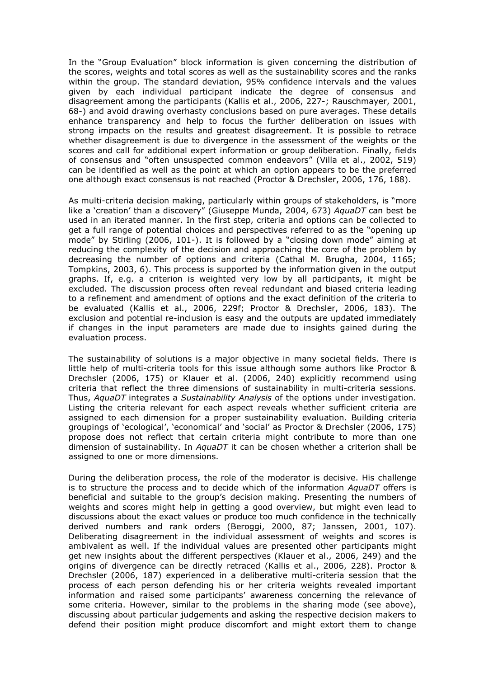In the "Group Evaluation" block information is given concerning the distribution of the scores, weights and total scores as well as the sustainability scores and the ranks within the group. The standard deviation, 95% confidence intervals and the values given by each individual participant indicate the degree of consensus and disagreement among the participants (Kallis et al., 2006, 227-; Rauschmayer, 2001, 68-) and avoid drawing overhasty conclusions based on pure averages. These details enhance transparency and help to focus the further deliberation on issues with strong impacts on the results and greatest disagreement. It is possible to retrace whether disagreement is due to divergence in the assessment of the weights or the scores and call for additional expert information or group deliberation. Finally, fields of consensus and "often unsuspected common endeavors" (Villa et al., 2002, 519) can be identified as well as the point at which an option appears to be the preferred one although exact consensus is not reached (Proctor & Drechsler, 2006, 176, 188).

As multi-criteria decision making, particularly within groups of stakeholders, is "more like a 'creation' than a discovery" (Giuseppe Munda, 2004, 673) AquaDT can best be used in an iterated manner. In the first step, criteria and options can be collected to get a full range of potential choices and perspectives referred to as the "opening up mode" by Stirling (2006, 101-). It is followed by a "closing down mode" aiming at reducing the complexity of the decision and approaching the core of the problem by decreasing the number of options and criteria (Cathal M. Brugha, 2004, 1165; Tompkins, 2003, 6). This process is supported by the information given in the output graphs. If, e.g. a criterion is weighted very low by all participants, it might be excluded. The discussion process often reveal redundant and biased criteria leading to a refinement and amendment of options and the exact definition of the criteria to be evaluated (Kallis et al., 2006, 229f; Proctor & Drechsler, 2006, 183). The exclusion and potential re-inclusion is easy and the outputs are updated immediately if changes in the input parameters are made due to insights gained during the evaluation process.

The sustainability of solutions is a major objective in many societal fields. There is little help of multi-criteria tools for this issue although some authors like Proctor & Drechsler (2006, 175) or Klauer et al. (2006, 240) explicitly recommend using criteria that reflect the three dimensions of sustainability in multi-criteria sessions. Thus, AquaDT integrates a Sustainability Analysis of the options under investigation. Listing the criteria relevant for each aspect reveals whether sufficient criteria are assigned to each dimension for a proper sustainability evaluation. Building criteria groupings of 'ecological', 'economical' and 'social' as Proctor & Drechsler (2006, 175) propose does not reflect that certain criteria might contribute to more than one dimension of sustainability. In  $AquaDT$  it can be chosen whether a criterion shall be assigned to one or more dimensions.

During the deliberation process, the role of the moderator is decisive. His challenge is to structure the process and to decide which of the information  $AquaDT$  offers is beneficial and suitable to the group's decision making. Presenting the numbers of weights and scores might help in getting a good overview, but might even lead to discussions about the exact values or produce too much confidence in the technically derived numbers and rank orders (Beroggi, 2000, 87; Janssen, 2001, 107). Deliberating disagreement in the individual assessment of weights and scores is ambivalent as well. If the individual values are presented other participants might get new insights about the different perspectives (Klauer et al., 2006, 249) and the origins of divergence can be directly retraced (Kallis et al., 2006, 228). Proctor & Drechsler (2006, 187) experienced in a deliberative multi-criteria session that the process of each person defending his or her criteria weights revealed important information and raised some participants' awareness concerning the relevance of some criteria. However, similar to the problems in the sharing mode (see above), discussing about particular judgements and asking the respective decision makers to defend their position might produce discomfort and might extort them to change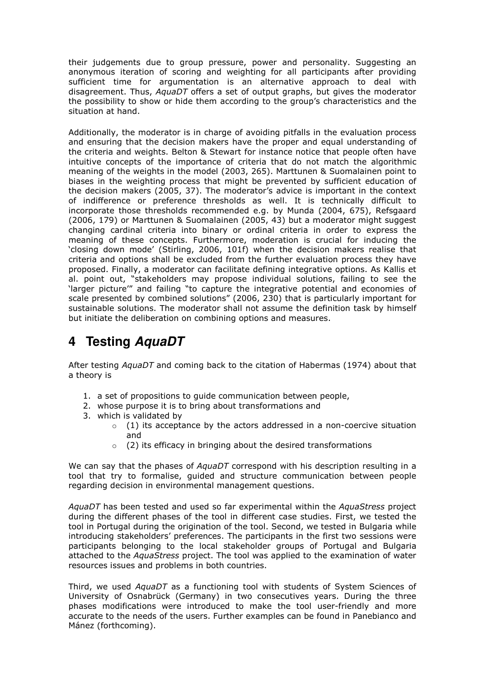their judgements due to group pressure, power and personality. Suggesting an anonymous iteration of scoring and weighting for all participants after providing sufficient time for argumentation is an alternative approach to deal with disagreement. Thus, AquaDT offers a set of output graphs, but gives the moderator the possibility to show or hide them according to the group's characteristics and the situation at hand.

Additionally, the moderator is in charge of avoiding pitfalls in the evaluation process and ensuring that the decision makers have the proper and equal understanding of the criteria and weights. Belton & Stewart for instance notice that people often have intuitive concepts of the importance of criteria that do not match the algorithmic meaning of the weights in the model (2003, 265). Marttunen & Suomalainen point to biases in the weighting process that might be prevented by sufficient education of the decision makers (2005, 37). The moderator's advice is important in the context of indifference or preference thresholds as well. It is technically difficult to incorporate those thresholds recommended e.g. by Munda (2004, 675), Refsgaard (2006, 179) or Marttunen & Suomalainen (2005, 43) but a moderator might suggest changing cardinal criteria into binary or ordinal criteria in order to express the meaning of these concepts. Furthermore, moderation is crucial for inducing the 'closing down mode' (Stirling, 2006, 101f) when the decision makers realise that criteria and options shall be excluded from the further evaluation process they have proposed. Finally, a moderator can facilitate defining integrative options. As Kallis et al. point out, "stakeholders may propose individual solutions, failing to see the 'larger picture'" and failing "to capture the integrative potential and economies of scale presented by combined solutions" (2006, 230) that is particularly important for sustainable solutions. The moderator shall not assume the definition task by himself but initiate the deliberation on combining options and measures.

## **4 Testing AquaDT**

After testing AquaDT and coming back to the citation of Habermas (1974) about that a theory is

- 1. a set of propositions to guide communication between people,
- 2. whose purpose it is to bring about transformations and
- 3. which is validated by
	- $\circ$  (1) its acceptance by the actors addressed in a non-coercive situation and
	- $\circ$  (2) its efficacy in bringing about the desired transformations

We can say that the phases of  $AquaDT$  correspond with his description resulting in a tool that try to formalise, guided and structure communication between people regarding decision in environmental management questions.

AquaDT has been tested and used so far experimental within the AquaStress project during the different phases of the tool in different case studies. First, we tested the tool in Portugal during the origination of the tool. Second, we tested in Bulgaria while introducing stakeholders' preferences. The participants in the first two sessions were participants belonging to the local stakeholder groups of Portugal and Bulgaria attached to the AquaStress project. The tool was applied to the examination of water resources issues and problems in both countries.

Third, we used AquaDT as a functioning tool with students of System Sciences of University of Osnabrück (Germany) in two consecutives years. During the three phases modifications were introduced to make the tool user-friendly and more accurate to the needs of the users. Further examples can be found in Panebianco and Mánez (forthcoming).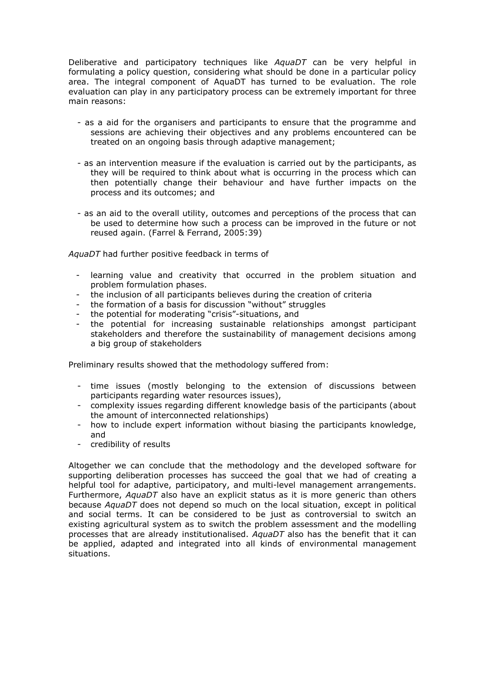Deliberative and participatory techniques like AquaDT can be very helpful in formulating a policy question, considering what should be done in a particular policy area. The integral component of AquaDT has turned to be evaluation. The role evaluation can play in any participatory process can be extremely important for three main reasons:

- as a aid for the organisers and participants to ensure that the programme and sessions are achieving their objectives and any problems encountered can be treated on an ongoing basis through adaptive management;
- as an intervention measure if the evaluation is carried out by the participants, as they will be required to think about what is occurring in the process which can then potentially change their behaviour and have further impacts on the process and its outcomes; and
- as an aid to the overall utility, outcomes and perceptions of the process that can be used to determine how such a process can be improved in the future or not reused again. (Farrel & Ferrand, 2005:39)

AquaDT had further positive feedback in terms of

- learning value and creativity that occurred in the problem situation and problem formulation phases.
- the inclusion of all participants believes during the creation of criteria
- the formation of a basis for discussion "without" struggles
- the potential for moderating "crisis"-situations, and
- the potential for increasing sustainable relationships amongst participant stakeholders and therefore the sustainability of management decisions among a big group of stakeholders

Preliminary results showed that the methodology suffered from:

- time issues (mostly belonging to the extension of discussions between participants regarding water resources issues),
- complexity issues regarding different knowledge basis of the participants (about the amount of interconnected relationships)
- how to include expert information without biasing the participants knowledge, and
- credibility of results

Altogether we can conclude that the methodology and the developed software for supporting deliberation processes has succeed the goal that we had of creating a helpful tool for adaptive, participatory, and multi-level management arrangements. Furthermore, AquaDT also have an explicit status as it is more generic than others because AquaDT does not depend so much on the local situation, except in political and social terms. It can be considered to be just as controversial to switch an existing agricultural system as to switch the problem assessment and the modelling processes that are already institutionalised. AquaDT also has the benefit that it can be applied, adapted and integrated into all kinds of environmental management situations.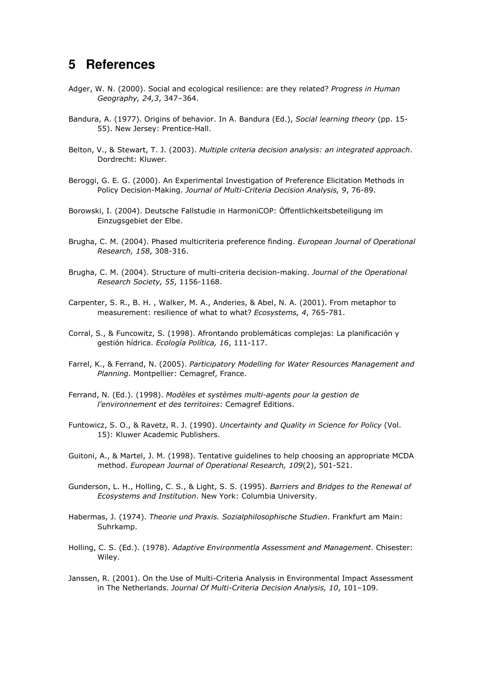## **5 References**

- Adger, W. N. (2000). Social and ecological resilience: are they related? Progress in Human Geography, 24,3, 347–364.
- Bandura, A. (1977). Origins of behavior. In A. Bandura (Ed.), Social learning theory (pp. 15-55). New Jersey: Prentice-Hall.
- Belton, V., & Stewart, T. J. (2003). Multiple criteria decision analysis: an integrated approach. Dordrecht: Kluwer.
- Beroggi, G. E. G. (2000). An Experimental Investigation of Preference Elicitation Methods in Policy Decision-Making. Journal of Multi-Criteria Decision Analysis, 9, 76-89.
- Borowski, I. (2004). Deutsche Fallstudie in HarmoniCOP: Öffentlichkeitsbeteiligung im Einzugsgebiet der Elbe.
- Brugha, C. M. (2004). Phased multicriteria preference finding. European Journal of Operational Research, 158, 308-316.
- Brugha, C. M. (2004). Structure of multi-criteria decision-making. Journal of the Operational Research Society, 55, 1156-1168.
- Carpenter, S. R., B. H. , Walker, M. A., Anderies, & Abel, N. A. (2001). From metaphor to measurement: resilience of what to what? Ecosystems, 4, 765-781.
- Corral, S., & Funcowitz, S. (1998). Afrontando problemáticas complejas: La planificación y gestión hídrica. Ecología Política, 16, 111-117.
- Farrel, K., & Ferrand, N. (2005). Participatory Modelling for Water Resources Management and Planning. Montpellier: Cemagref, France.
- Ferrand, N. (Ed.). (1998). Modèles et systèmes multi-agents pour la gestion de l'environnement et des territoires: Cemagref Editions.
- Funtowicz, S. O., & Ravetz, R. J. (1990). Uncertainty and Quality in Science for Policy (Vol. 15): Kluwer Academic Publishers.
- Guitoni, A., & Martel, J. M. (1998). Tentative guidelines to help choosing an appropriate MCDA method. European Journal of Operational Research, 109(2), 501-521.
- Gunderson, L. H., Holling, C. S., & Light, S. S. (1995). Barriers and Bridges to the Renewal of Ecosystems and Institution. New York: Columbia University.
- Habermas, J. (1974). Theorie und Praxis. Sozialphilosophische Studien. Frankfurt am Main: Suhrkamp.
- Holling, C. S. (Ed.). (1978). Adaptive Environmentla Assessment and Management. Chisester: Wiley.
- Janssen, R. (2001). On the Use of Multi-Criteria Analysis in Environmental Impact Assessment in The Netherlands. Journal Of Multi-Criteria Decision Analysis, 10, 101–109.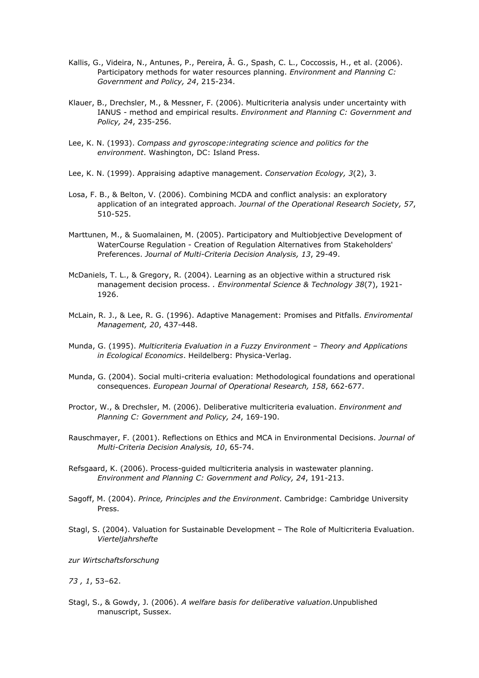- Kallis, G., Videira, N., Antunes, P., Pereira, Â. G., Spash, C. L., Coccossis, H., et al. (2006). Participatory methods for water resources planning. Environment and Planning C: Government and Policy, 24, 215-234.
- Klauer, B., Drechsler, M., & Messner, F. (2006). Multicriteria analysis under uncertainty with IANUS - method and empirical results. Environment and Planning C: Government and Policy, 24, 235-256.
- Lee, K. N. (1993). Compass and gyroscope:integrating science and politics for the environment. Washington, DC: Island Press.
- Lee, K. N. (1999). Appraising adaptive management. Conservation Ecology, 3(2), 3.
- Losa, F. B., & Belton, V. (2006). Combining MCDA and conflict analysis: an exploratory application of an integrated approach. Journal of the Operational Research Society, 57, 510-525.
- Marttunen, M., & Suomalainen, M. (2005). Participatory and Multiobjective Development of WaterCourse Regulation - Creation of Regulation Alternatives from Stakeholders' Preferences. Journal of Multi-Criteria Decision Analysis, 13, 29-49.
- McDaniels, T. L., & Gregory, R. (2004). Learning as an objective within a structured risk management decision process. . Environmental Science & Technology 38(7), 1921-1926.
- McLain, R. J., & Lee, R. G. (1996). Adaptive Management: Promises and Pitfalls. *Enviromental* Management, 20, 437-448.
- Munda, G. (1995). Multicriteria Evaluation in a Fuzzy Environment Theory and Applications in Ecological Economics. Heildelberg: Physica-Verlag.
- Munda, G. (2004). Social multi-criteria evaluation: Methodological foundations and operational consequences. European Journal of Operational Research, 158, 662-677.
- Proctor, W., & Drechsler, M. (2006). Deliberative multicriteria evaluation. Environment and Planning C: Government and Policy, 24, 169-190.
- Rauschmayer, F. (2001). Reflections on Ethics and MCA in Environmental Decisions. Journal of Multi-Criteria Decision Analysis, 10, 65-74.
- Refsgaard, K. (2006). Process-guided multicriteria analysis in wastewater planning. Environment and Planning C: Government and Policy, 24, 191-213.
- Sagoff, M. (2004). Prince, Principles and the Environment. Cambridge: Cambridge University Press.
- Stagl, S. (2004). Valuation for Sustainable Development The Role of Multicriteria Evaluation. Vierteljahrshefte

zur Wirtschaftsforschung

73 , 1, 53–62.

Stagl, S., & Gowdy, J. (2006). A welfare basis for deliberative valuation.Unpublished manuscript, Sussex.